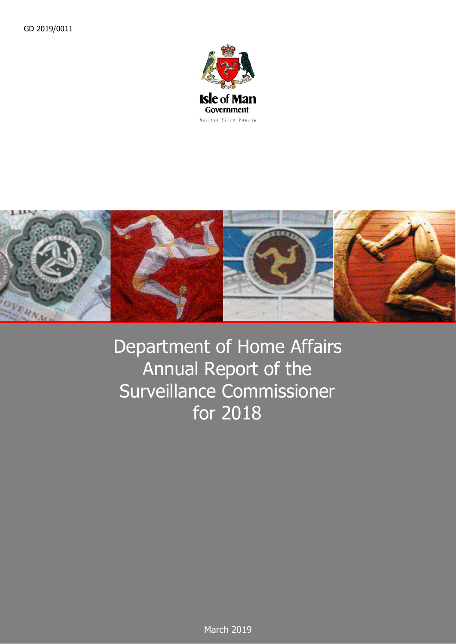



## Department of Home Affairs Annual Report of the Surveillance Commissioner for 2018

March 2019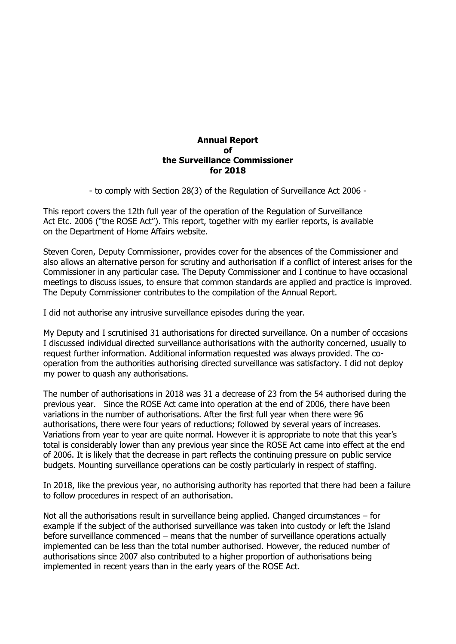## **Annual Report of the Surveillance Commissioner for 2018**

- to comply with Section 28(3) of the Regulation of Surveillance Act 2006 -

This report covers the 12th full year of the operation of the Regulation of Surveillance Act Etc. 2006 ("the ROSE Act"). This report, together with my earlier reports, is available on the Department of Home Affairs website.

Steven Coren, Deputy Commissioner, provides cover for the absences of the Commissioner and also allows an alternative person for scrutiny and authorisation if a conflict of interest arises for the Commissioner in any particular case. The Deputy Commissioner and I continue to have occasional meetings to discuss issues, to ensure that common standards are applied and practice is improved. The Deputy Commissioner contributes to the compilation of the Annual Report.

I did not authorise any intrusive surveillance episodes during the year.

My Deputy and I scrutinised 31 authorisations for directed surveillance. On a number of occasions I discussed individual directed surveillance authorisations with the authority concerned, usually to request further information. Additional information requested was always provided. The cooperation from the authorities authorising directed surveillance was satisfactory. I did not deploy my power to quash any authorisations.

The number of authorisations in 2018 was 31 a decrease of 23 from the 54 authorised during the previous year. Since the ROSE Act came into operation at the end of 2006, there have been variations in the number of authorisations. After the first full year when there were 96 authorisations, there were four years of reductions; followed by several years of increases. Variations from year to year are quite normal. However it is appropriate to note that this year's total is considerably lower than any previous year since the ROSE Act came into effect at the end of 2006. It is likely that the decrease in part reflects the continuing pressure on public service budgets. Mounting surveillance operations can be costly particularly in respect of staffing.

In 2018, like the previous year, no authorising authority has reported that there had been a failure to follow procedures in respect of an authorisation.

Not all the authorisations result in surveillance being applied. Changed circumstances – for example if the subject of the authorised surveillance was taken into custody or left the Island before surveillance commenced – means that the number of surveillance operations actually implemented can be less than the total number authorised. However, the reduced number of authorisations since 2007 also contributed to a higher proportion of authorisations being implemented in recent years than in the early years of the ROSE Act.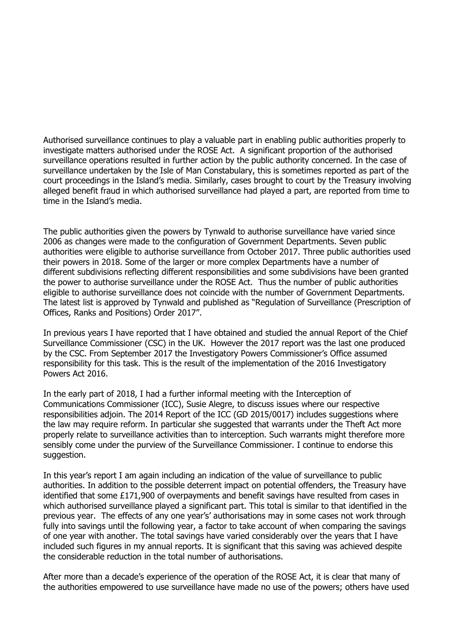Authorised surveillance continues to play a valuable part in enabling public authorities properly to investigate matters authorised under the ROSE Act. A significant proportion of the authorised surveillance operations resulted in further action by the public authority concerned. In the case of surveillance undertaken by the Isle of Man Constabulary, this is sometimes reported as part of the court proceedings in the Island's media. Similarly, cases brought to court by the Treasury involving alleged benefit fraud in which authorised surveillance had played a part, are reported from time to time in the Island's media.

The public authorities given the powers by Tynwald to authorise surveillance have varied since 2006 as changes were made to the configuration of Government Departments. Seven public authorities were eligible to authorise surveillance from October 2017. Three public authorities used their powers in 2018. Some of the larger or more complex Departments have a number of different subdivisions reflecting different responsibilities and some subdivisions have been granted the power to authorise surveillance under the ROSE Act. Thus the number of public authorities eligible to authorise surveillance does not coincide with the number of Government Departments. The latest list is approved by Tynwald and published as "Regulation of Surveillance (Prescription of Offices, Ranks and Positions) Order 2017".

In previous years I have reported that I have obtained and studied the annual Report of the Chief Surveillance Commissioner (CSC) in the UK. However the 2017 report was the last one produced by the CSC. From September 2017 the Investigatory Powers Commissioner's Office assumed responsibility for this task. This is the result of the implementation of the 2016 Investigatory Powers Act 2016.

In the early part of 2018, I had a further informal meeting with the Interception of Communications Commissioner (ICC), Susie Alegre, to discuss issues where our respective responsibilities adjoin. The 2014 Report of the ICC (GD 2015/0017) includes suggestions where the law may require reform. In particular she suggested that warrants under the Theft Act more properly relate to surveillance activities than to interception. Such warrants might therefore more sensibly come under the purview of the Surveillance Commissioner. I continue to endorse this suggestion.

In this year's report I am again including an indication of the value of surveillance to public authorities. In addition to the possible deterrent impact on potential offenders, the Treasury have identified that some £171,900 of overpayments and benefit savings have resulted from cases in which authorised surveillance played a significant part. This total is similar to that identified in the previous year. The effects of any one year's' authorisations may in some cases not work through fully into savings until the following year, a factor to take account of when comparing the savings of one year with another. The total savings have varied considerably over the years that I have included such figures in my annual reports. It is significant that this saving was achieved despite the considerable reduction in the total number of authorisations.

After more than a decade's experience of the operation of the ROSE Act, it is clear that many of the authorities empowered to use surveillance have made no use of the powers; others have used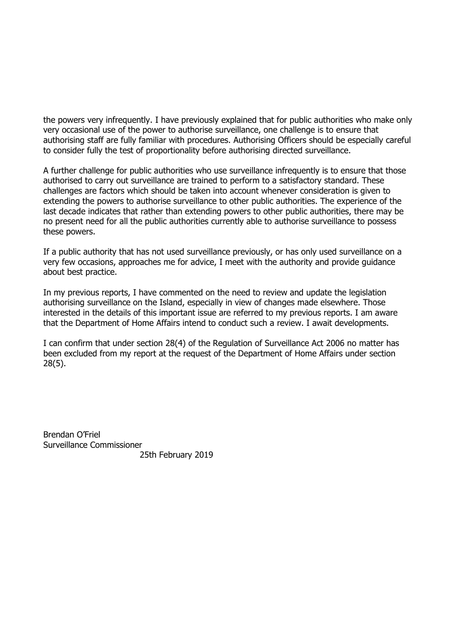the powers very infrequently. I have previously explained that for public authorities who make only very occasional use of the power to authorise surveillance, one challenge is to ensure that authorising staff are fully familiar with procedures. Authorising Officers should be especially careful to consider fully the test of proportionality before authorising directed surveillance.

A further challenge for public authorities who use surveillance infrequently is to ensure that those authorised to carry out surveillance are trained to perform to a satisfactory standard. These challenges are factors which should be taken into account whenever consideration is given to extending the powers to authorise surveillance to other public authorities. The experience of the last decade indicates that rather than extending powers to other public authorities, there may be no present need for all the public authorities currently able to authorise surveillance to possess these powers.

If a public authority that has not used surveillance previously, or has only used surveillance on a very few occasions, approaches me for advice, I meet with the authority and provide guidance about best practice.

In my previous reports, I have commented on the need to review and update the legislation authorising surveillance on the Island, especially in view of changes made elsewhere. Those interested in the details of this important issue are referred to my previous reports. I am aware that the Department of Home Affairs intend to conduct such a review. I await developments.

I can confirm that under section 28(4) of the Regulation of Surveillance Act 2006 no matter has been excluded from my report at the request of the Department of Home Affairs under section 28(5).

Brendan O'Friel Surveillance Commissioner 25th February 2019